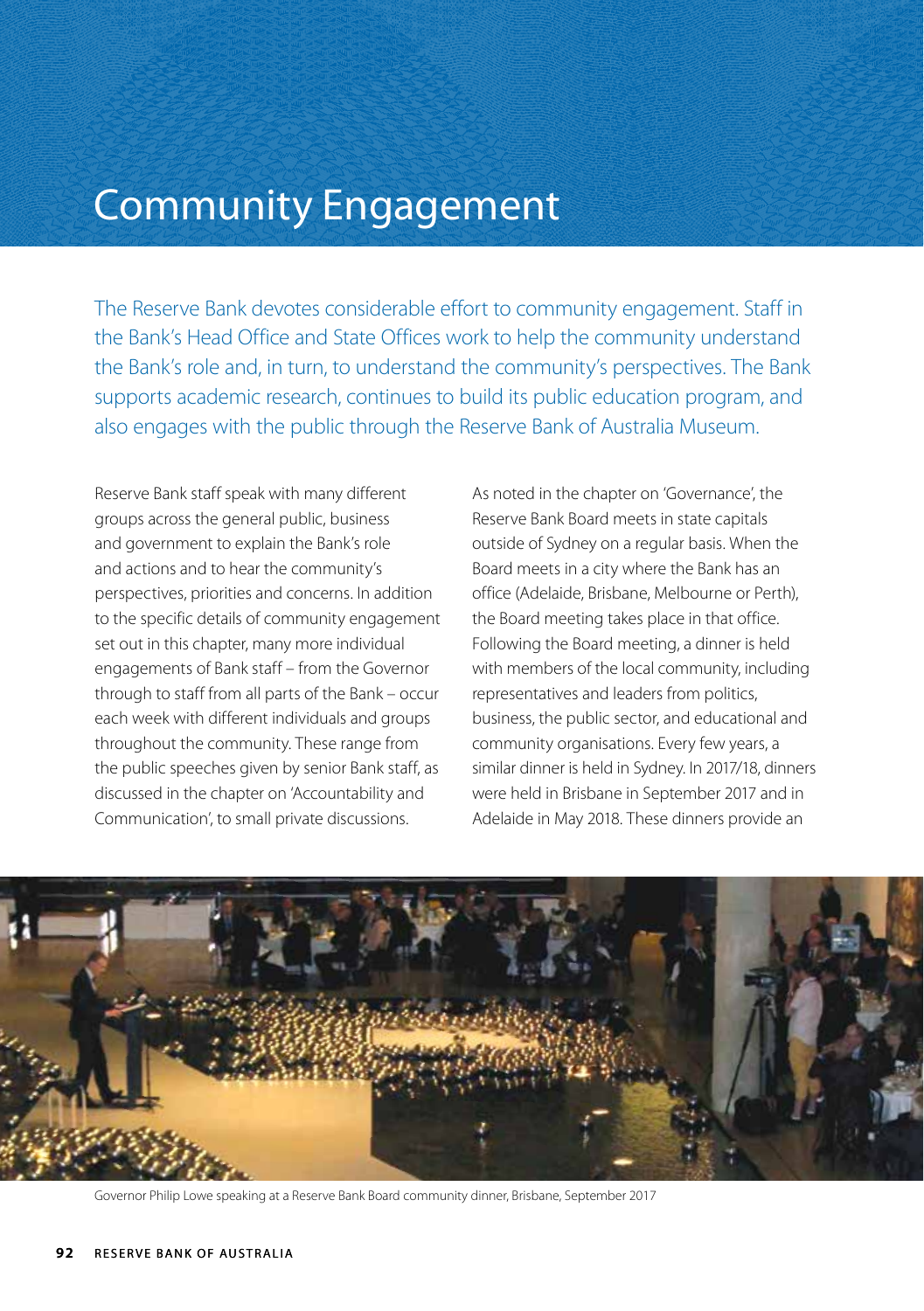# Community Engagement

The Reserve Bank devotes considerable effort to community engagement. Staff in the Bank's Head Office and State Offices work to help the community understand the Bank's role and, in turn, to understand the community's perspectives. The Bank supports academic research, continues to build its public education program, and also engages with the public through the Reserve Bank of Australia Museum.

Reserve Bank staff speak with many different groups across the general public, business and government to explain the Bank's role and actions and to hear the community's perspectives, priorities and concerns. In addition to the specific details of community engagement set out in this chapter, many more individual engagements of Bank staff – from the Governor through to staff from all parts of the Bank – occur each week with different individuals and groups throughout the community. These range from the public speeches given by senior Bank staff, as discussed in the chapter on 'Accountability and Communication', to small private discussions.

As noted in the chapter on 'Governance', the Reserve Bank Board meets in state capitals outside of Sydney on a regular basis. When the Board meets in a city where the Bank has an office (Adelaide, Brisbane, Melbourne or Perth), the Board meeting takes place in that office. Following the Board meeting, a dinner is held with members of the local community, including representatives and leaders from politics, business, the public sector, and educational and community organisations. Every few years, a similar dinner is held in Sydney. In 2017/18, dinners were held in Brisbane in September 2017 and in Adelaide in May 2018. These dinners provide an



Governor Philip Lowe speaking at a Reserve Bank Board community dinner, Brisbane, September 2017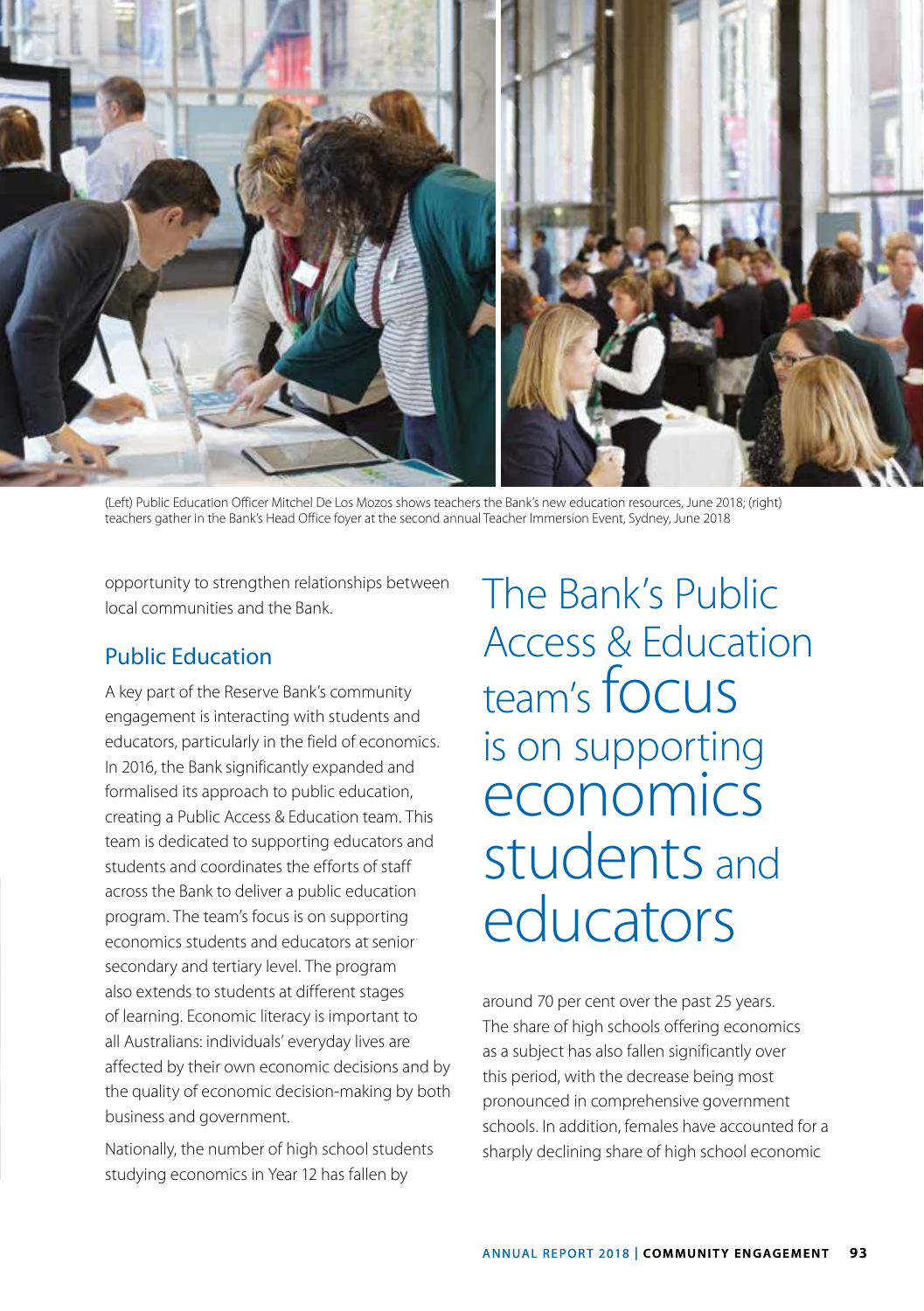

(Left) Public Education Officer Mitchel De Los Mozos shows teachers the Bank's new education resources, June 2018; (right) teachers gather in the Bank's Head Office foyer at the second annual Teacher Immersion Event, Sydney, June 2018

opportunity to strengthen relationships between local communities and the Bank.

## Public Education

A key part of the Reserve Bank's community engagement is interacting with students and educators, particularly in the field of economics. In 2016, the Bank significantly expanded and formalised its approach to public education, creating a Public Access & Education team. This team is dedicated to supporting educators and students and coordinates the efforts of staff across the Bank to deliver a public education program. The team's focus is on supporting economics students and educators at senior secondary and tertiary level. The program also extends to students at different stages of learning. Economic literacy is important to all Australians: individuals' everyday lives are affected by their own economic decisions and by the quality of economic decision-making by both business and government.

Nationally, the number of high school students studying economics in Year 12 has fallen by

The Bank's Public Access & Education team's focus is on supporting economics students and educators

around 70 per cent over the past 25 years. The share of high schools offering economics as a subject has also fallen significantly over this period, with the decrease being most pronounced in comprehensive government schools. In addition, females have accounted for a sharply declining share of high school economic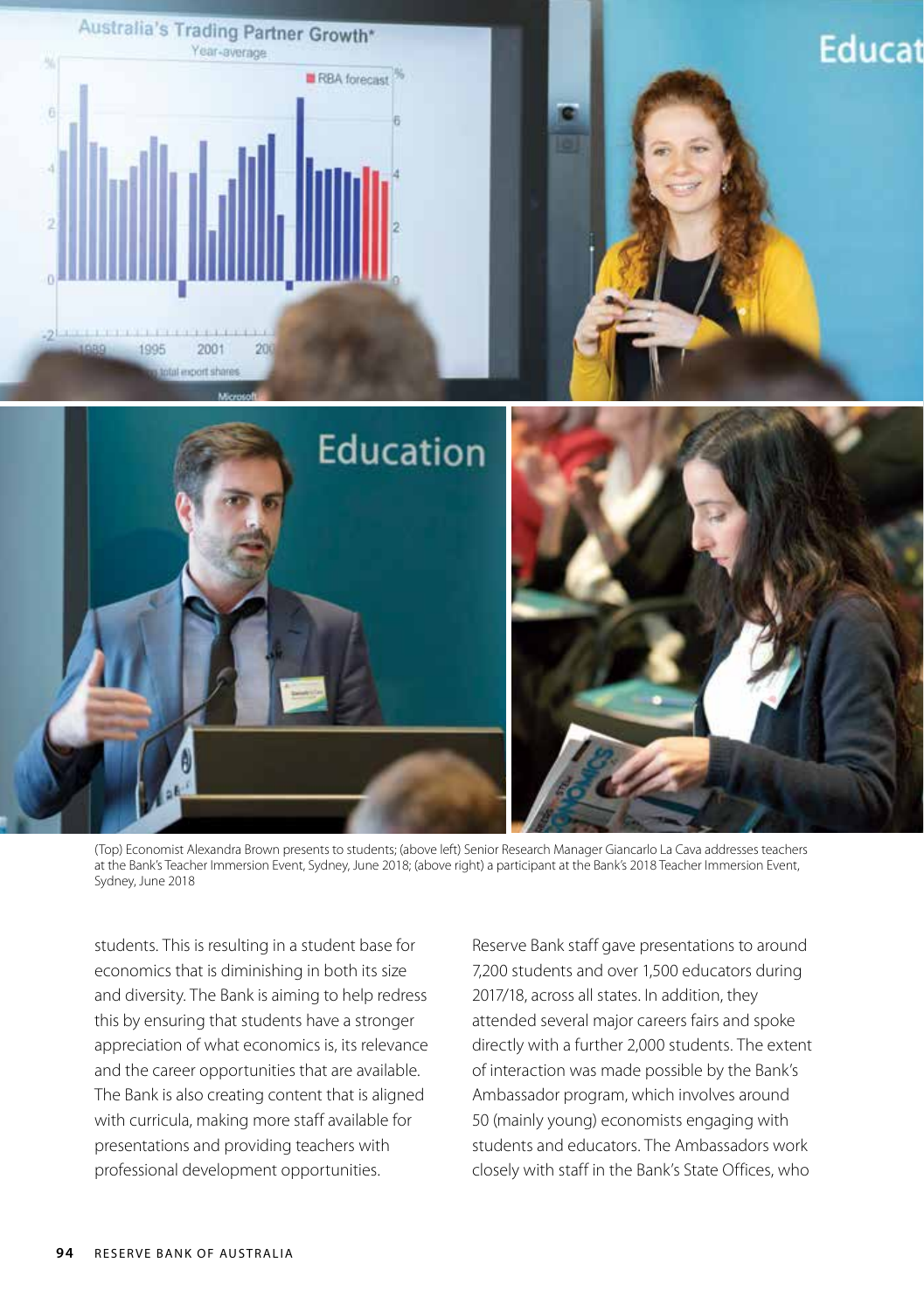

(Top) Economist Alexandra Brown presents to students; (above left) Senior Research Manager Giancarlo La Cava addresses teachers at the Bank's Teacher Immersion Event, Sydney, June 2018; (above right) a participant at the Bank's 2018 Teacher Immersion Event, Sydney, June 2018

students. This is resulting in a student base for economics that is diminishing in both its size and diversity. The Bank is aiming to help redress this by ensuring that students have a stronger appreciation of what economics is, its relevance and the career opportunities that are available. The Bank is also creating content that is aligned with curricula, making more staff available for presentations and providing teachers with professional development opportunities.

Reserve Bank staff gave presentations to around 7,200 students and over 1,500 educators during 2017/18, across all states. In addition, they attended several major careers fairs and spoke directly with a further 2,000 students. The extent of interaction was made possible by the Bank's Ambassador program, which involves around 50 (mainly young) economists engaging with students and educators. The Ambassadors work closely with staff in the Bank's State Offices, who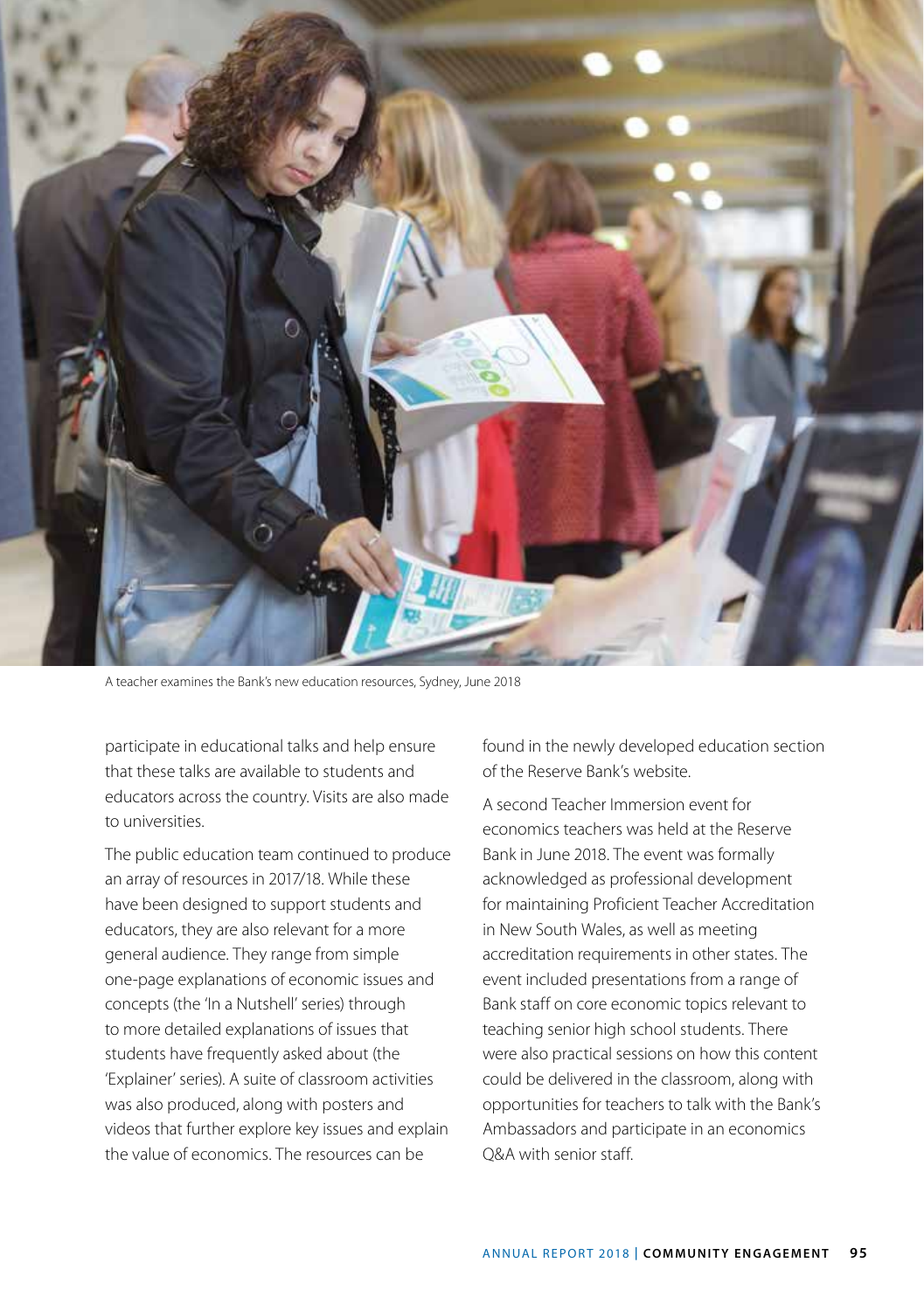

A teacher examines the Bank's new education resources, Sydney, June 2018

participate in educational talks and help ensure that these talks are available to students and educators across the country. Visits are also made to universities.

The public education team continued to produce an array of resources in 2017/18. While these have been designed to support students and educators, they are also relevant for a more general audience. They range from simple one-page explanations of economic issues and concepts (the 'In a Nutshell' series) through to more detailed explanations of issues that students have frequently asked about (the 'Explainer' series). A suite of classroom activities was also produced, along with posters and videos that further explore key issues and explain the value of economics. The resources can be

found in the newly developed education section of the Reserve Bank's website.

A second Teacher Immersion event for economics teachers was held at the Reserve Bank in June 2018. The event was formally acknowledged as professional development for maintaining Proficient Teacher Accreditation in New South Wales, as well as meeting accreditation requirements in other states. The event included presentations from a range of Bank staff on core economic topics relevant to teaching senior high school students. There were also practical sessions on how this content could be delivered in the classroom, along with opportunities for teachers to talk with the Bank's Ambassadors and participate in an economics Q&A with senior staff.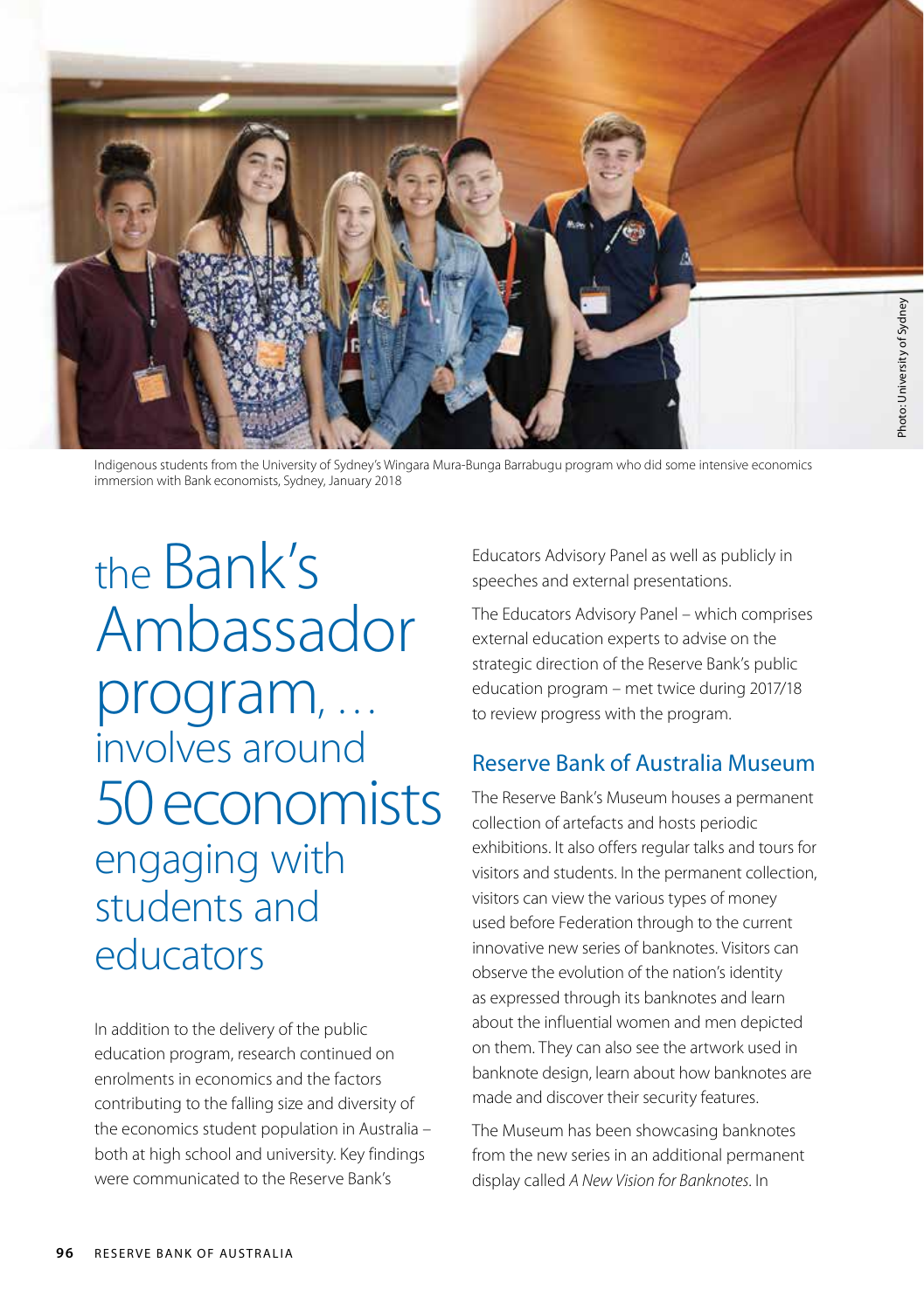

Indigenous students from the University of Sydney's Wingara Mura-Bunga Barrabugu program who did some intensive economics immersion with Bank economists, Sydney, January 2018

the Bank's Ambassador program, … involves around 50 economists engaging with students and educators

In addition to the delivery of the public education program, research continued on enrolments in economics and the factors contributing to the falling size and diversity of the economics student population in Australia – both at high school and university. Key findings were communicated to the Reserve Bank's

Educators Advisory Panel as well as publicly in speeches and external presentations.

The Educators Advisory Panel – which comprises external education experts to advise on the strategic direction of the Reserve Bank's public education program – met twice during 2017/18 to review progress with the program.

## Reserve Bank of Australia Museum

The Reserve Bank's Museum houses a permanent collection of artefacts and hosts periodic exhibitions. It also offers regular talks and tours for visitors and students. In the permanent collection, visitors can view the various types of money used before Federation through to the current innovative new series of banknotes. Visitors can observe the evolution of the nation's identity as expressed through its banknotes and learn about the influential women and men depicted on them. They can also see the artwork used in banknote design, learn about how banknotes are made and discover their security features.

The Museum has been showcasing banknotes from the new series in an additional permanent display called *A New Vision for Banknotes*. In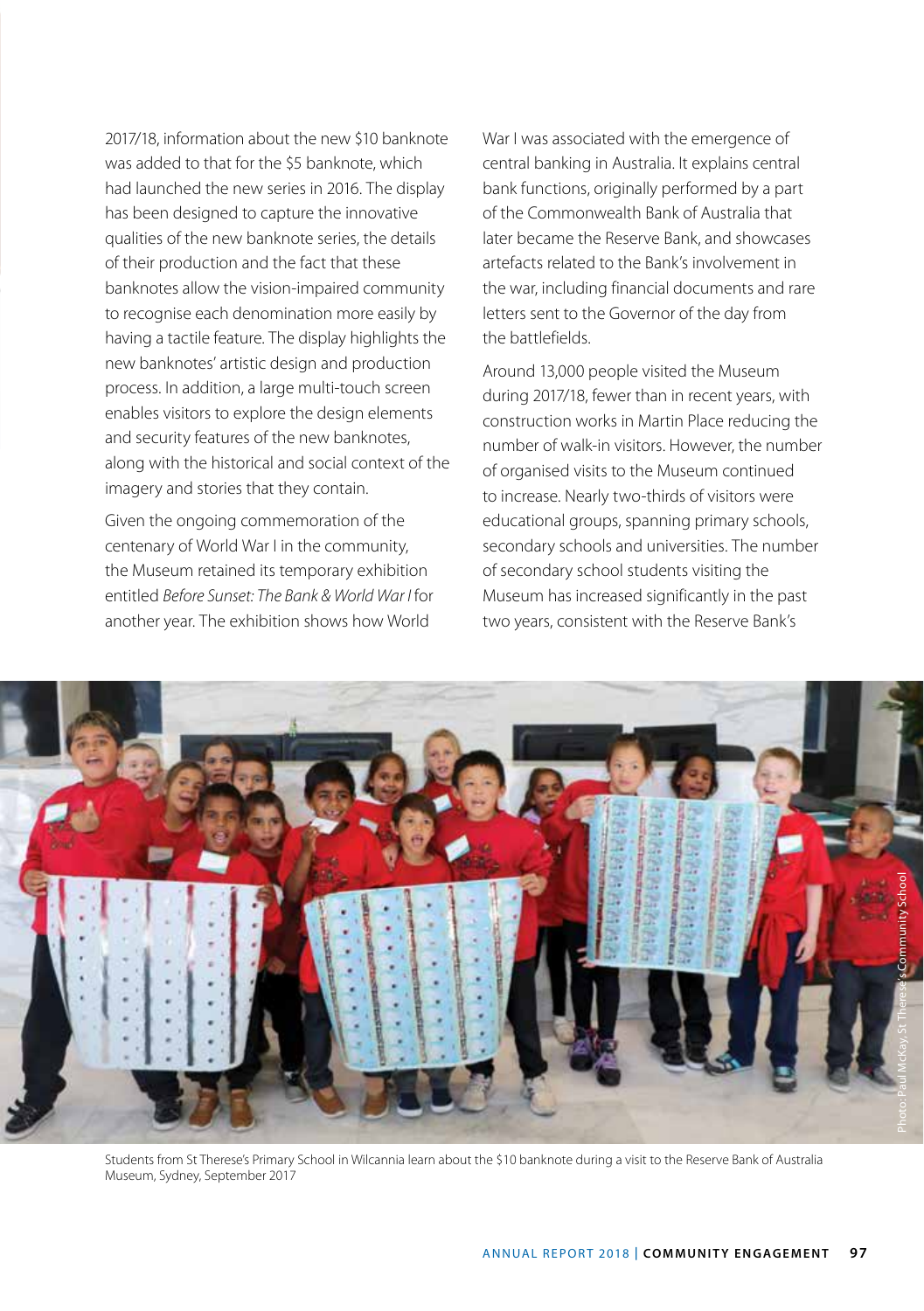2017/18, information about the new \$10 banknote was added to that for the \$5 banknote, which had launched the new series in 2016. The display has been designed to capture the innovative qualities of the new banknote series, the details of their production and the fact that these banknotes allow the vision-impaired community to recognise each denomination more easily by having a tactile feature. The display highlights the new banknotes' artistic design and production process. In addition, a large multi-touch screen enables visitors to explore the design elements and security features of the new banknotes, along with the historical and social context of the imagery and stories that they contain.

Given the ongoing commemoration of the centenary of World War I in the community, the Museum retained its temporary exhibition entitled *Before Sunset: The Bank & World War I* for another year. The exhibition shows how World

War I was associated with the emergence of central banking in Australia. It explains central bank functions, originally performed by a part of the Commonwealth Bank of Australia that later became the Reserve Bank, and showcases artefacts related to the Bank's involvement in the war, including financial documents and rare letters sent to the Governor of the day from the battlefields.

Around 13,000 people visited the Museum during 2017/18, fewer than in recent years, with construction works in Martin Place reducing the number of walk-in visitors. However, the number of organised visits to the Museum continued to increase. Nearly two-thirds of visitors were educational groups, spanning primary schools, secondary schools and universities. The number of secondary school students visiting the Museum has increased significantly in the past two years, consistent with the Reserve Bank's



Students from St Therese's Primary School in Wilcannia learn about the \$10 banknote during a visit to the Reserve Bank of Australia Museum, Sydney, September 2017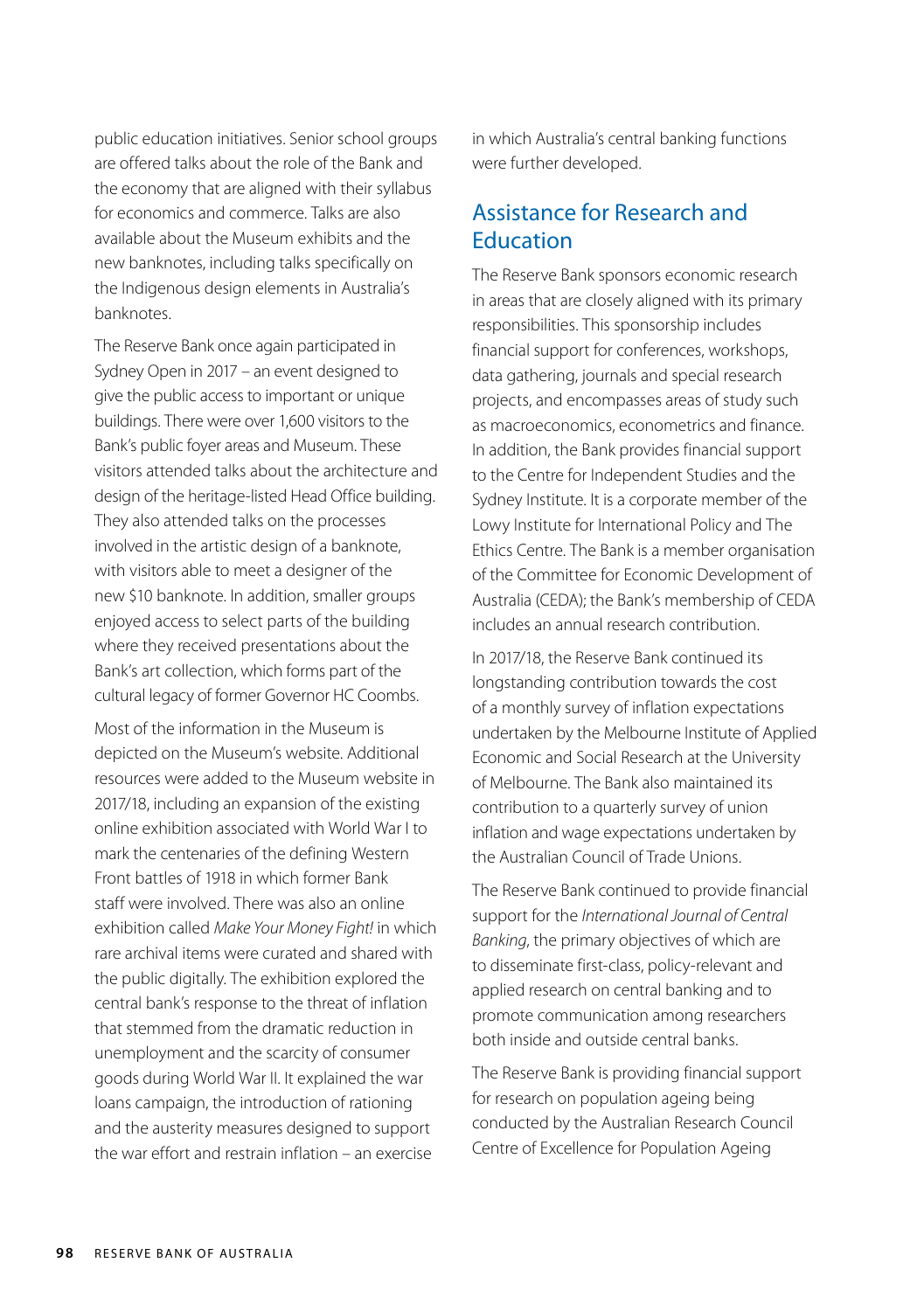public education initiatives. Senior school groups are offered talks about the role of the Bank and the economy that are aligned with their syllabus for economics and commerce. Talks are also available about the Museum exhibits and the new banknotes, including talks specifically on the Indigenous design elements in Australia's banknotes.

The Reserve Bank once again participated in Sydney Open in 2017 – an event designed to give the public access to important or unique buildings. There were over 1,600 visitors to the Bank's public foyer areas and Museum. These visitors attended talks about the architecture and design of the heritage-listed Head Office building. They also attended talks on the processes involved in the artistic design of a banknote, with visitors able to meet a designer of the new \$10 banknote. In addition, smaller groups enjoyed access to select parts of the building where they received presentations about the Bank's art collection, which forms part of the cultural legacy of former Governor HC Coombs.

Most of the information in the Museum is depicted on the Museum's website. Additional resources were added to the Museum website in 2017/18, including an expansion of the existing online exhibition associated with World War I to mark the centenaries of the defining Western Front battles of 1918 in which former Bank staff were involved. There was also an online exhibition called *Make Your Money Fight!* in which rare archival items were curated and shared with the public digitally. The exhibition explored the central bank's response to the threat of inflation that stemmed from the dramatic reduction in unemployment and the scarcity of consumer goods during World War II. It explained the war loans campaign, the introduction of rationing and the austerity measures designed to support the war effort and restrain inflation – an exercise

in which Australia's central banking functions were further developed.

### Assistance for Research and **Education**

The Reserve Bank sponsors economic research in areas that are closely aligned with its primary responsibilities. This sponsorship includes financial support for conferences, workshops, data gathering, journals and special research projects, and encompasses areas of study such as macroeconomics, econometrics and finance. In addition, the Bank provides financial support to the Centre for Independent Studies and the Sydney Institute. It is a corporate member of the Lowy Institute for International Policy and The Ethics Centre. The Bank is a member organisation of the Committee for Economic Development of Australia (CEDA); the Bank's membership of CEDA includes an annual research contribution.

In 2017/18, the Reserve Bank continued its longstanding contribution towards the cost of a monthly survey of inflation expectations undertaken by the Melbourne Institute of Applied Economic and Social Research at the University of Melbourne. The Bank also maintained its contribution to a quarterly survey of union inflation and wage expectations undertaken by the Australian Council of Trade Unions.

The Reserve Bank continued to provide financial support for the *International Journal of Central Banking*, the primary objectives of which are to disseminate first-class, policy-relevant and applied research on central banking and to promote communication among researchers both inside and outside central banks.

The Reserve Bank is providing financial support for research on population ageing being conducted by the Australian Research Council Centre of Excellence for Population Ageing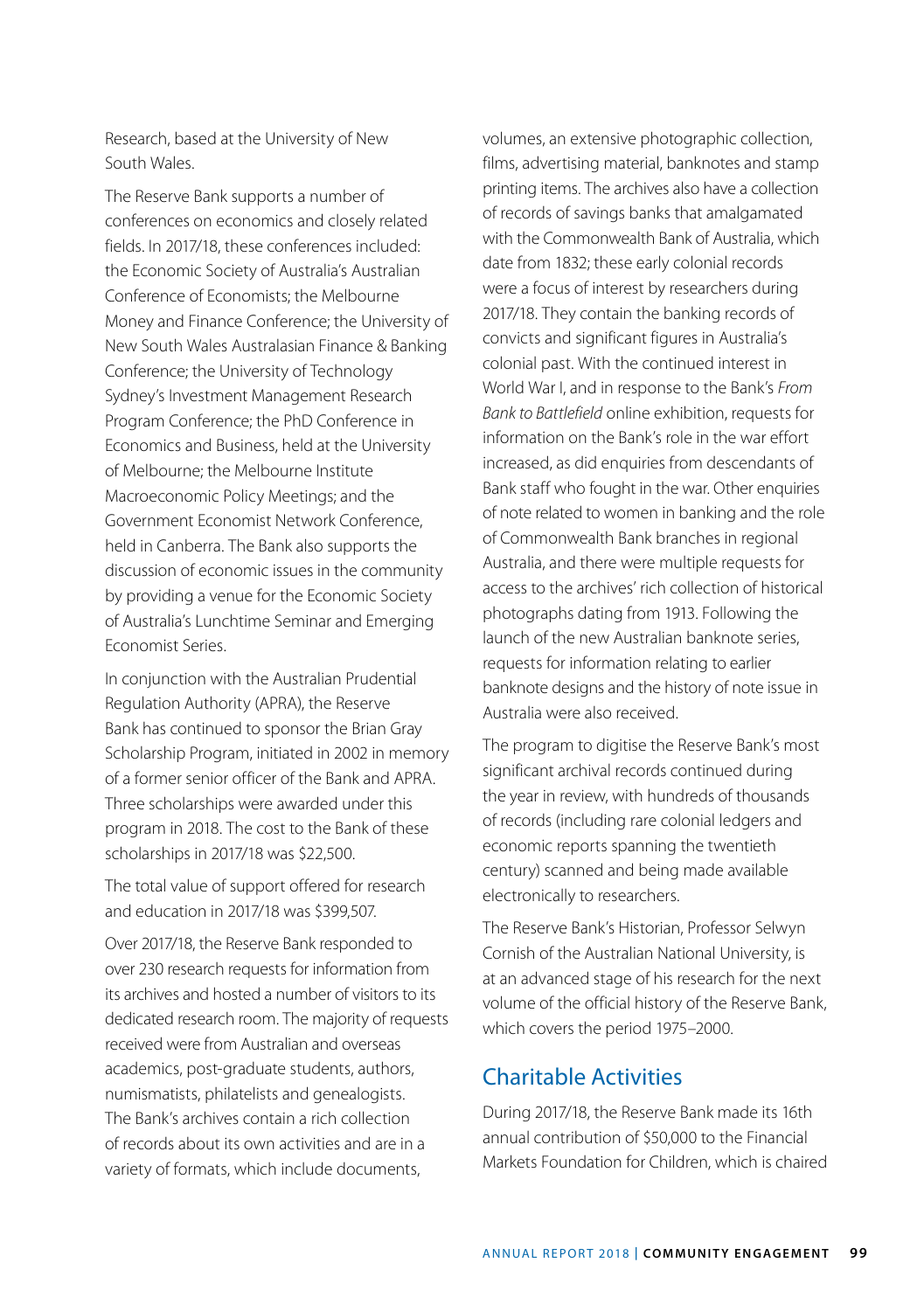Research, based at the University of New South Wales.

The Reserve Bank supports a number of conferences on economics and closely related fields. In 2017/18, these conferences included: the Economic Society of Australia's Australian Conference of Economists; the Melbourne Money and Finance Conference; the University of New South Wales Australasian Finance & Banking Conference; the University of Technology Sydney's Investment Management Research Program Conference; the PhD Conference in Economics and Business, held at the University of Melbourne; the Melbourne Institute Macroeconomic Policy Meetings; and the Government Economist Network Conference, held in Canberra. The Bank also supports the discussion of economic issues in the community by providing a venue for the Economic Society of Australia's Lunchtime Seminar and Emerging Economist Series.

In conjunction with the Australian Prudential Regulation Authority (APRA), the Reserve Bank has continued to sponsor the Brian Gray Scholarship Program, initiated in 2002 in memory of a former senior officer of the Bank and APRA. Three scholarships were awarded under this program in 2018. The cost to the Bank of these scholarships in 2017/18 was \$22,500.

The total value of support offered for research and education in 2017/18 was \$399,507.

Over 2017/18, the Reserve Bank responded to over 230 research requests for information from its archives and hosted a number of visitors to its dedicated research room. The majority of requests received were from Australian and overseas academics, post-graduate students, authors, numismatists, philatelists and genealogists. The Bank's archives contain a rich collection of records about its own activities and are in a variety of formats, which include documents,

volumes, an extensive photographic collection, films, advertising material, banknotes and stamp printing items. The archives also have a collection of records of savings banks that amalgamated with the Commonwealth Bank of Australia, which date from 1832; these early colonial records were a focus of interest by researchers during 2017/18. They contain the banking records of convicts and significant figures in Australia's colonial past. With the continued interest in World War I, and in response to the Bank's *From Bank to Battlefield* online exhibition, requests for information on the Bank's role in the war effort increased, as did enquiries from descendants of Bank staff who fought in the war. Other enquiries of note related to women in banking and the role of Commonwealth Bank branches in regional Australia, and there were multiple requests for access to the archives' rich collection of historical photographs dating from 1913. Following the launch of the new Australian banknote series, requests for information relating to earlier banknote designs and the history of note issue in Australia were also received.

The program to digitise the Reserve Bank's most significant archival records continued during the year in review, with hundreds of thousands of records (including rare colonial ledgers and economic reports spanning the twentieth century) scanned and being made available electronically to researchers.

The Reserve Bank's Historian, Professor Selwyn Cornish of the Australian National University, is at an advanced stage of his research for the next volume of the official history of the Reserve Bank, which covers the period 1975–2000.

### Charitable Activities

During 2017/18, the Reserve Bank made its 16th annual contribution of \$50,000 to the Financial Markets Foundation for Children, which is chaired